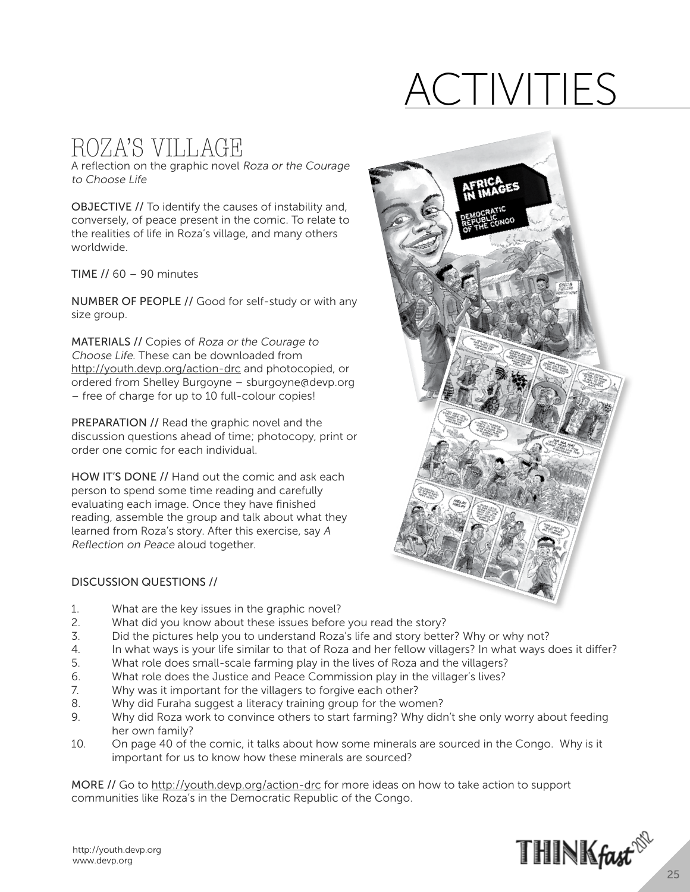## Activities

## ROZA'S VILLAGE

A reflection on the graphic novel Roza or the Courage to Choose Life

OBJECTIVE // To identify the causes of instability and, conversely, of peace present in the comic. To relate to the realities of life in Roza's village, and many others worldwide.

TIME  $\frac{1}{60}$  – 90 minutes

NUMBER OF PEOPLE // Good for self-study or with any size group.

MATERIALS // Copies of Roza or the Courage to Choose Life. These can be downloaded from http://youth.devp.org/action-drc and photocopied, or ordered from Shelley Burgoyne – sburgoyne@devp.org – free of charge for up to 10 full-colour copies!

PREPARATION // Read the graphic novel and the discussion questions ahead of time; photocopy, print or order one comic for each individual.

HOW IT'S DONE // Hand out the comic and ask each person to spend some time reading and carefully evaluating each image. Once they have finished reading, assemble the group and talk about what they learned from Roza's story. After this exercise, say A Reflection on Peace aloud together.

#### Discussion Questions //

- 1. What are the key issues in the graphic novel?
- 2. What did you know about these issues before you read the story?
- 3. Did the pictures help you to understand Roza's life and story better? Why or why not?
- 4. In what ways is your life similar to that of Roza and her fellow villagers? In what ways does it differ?
- 5. What role does small-scale farming play in the lives of Roza and the villagers?
- 6. What role does the Justice and Peace Commission play in the villager's lives?
- 7. Why was it important for the villagers to forgive each other?
- 8. Why did Furaha suggest a literacy training group for the women?
- 9. Why did Roza work to convince others to start farming? Why didn't she only worry about feeding her own family?
- 10. On page 40 of the comic, it talks about how some minerals are sourced in the Congo. Why is it important for us to know how these minerals are sourced?

MORE // Go to http://youth.devp.org/action-drc for more ideas on how to take action to support communities like Roza's in the Democratic Republic of the Congo.